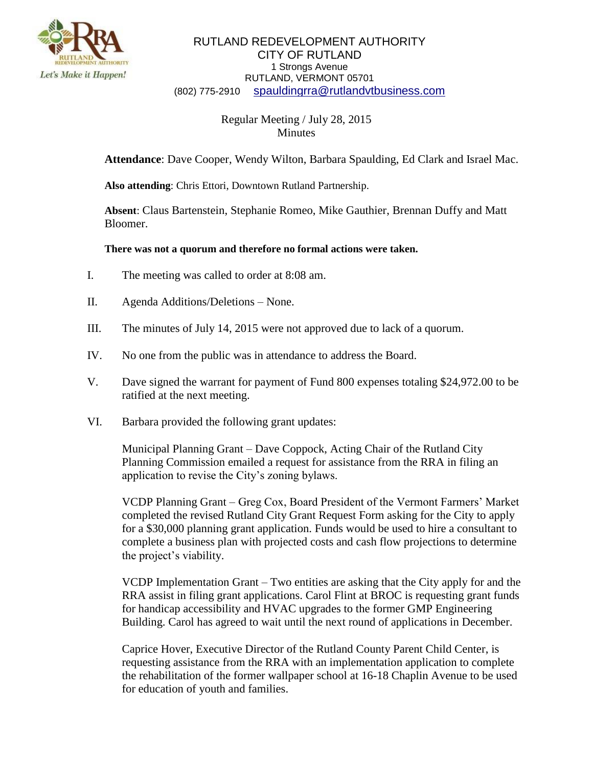

## RUTLAND REDEVELOPMENT AUTHORITY CITY OF RUTLAND 1 Strongs Avenue RUTLAND, VERMONT 05701 (802) 775-2910 [spauldingrra@rutlandvtbusiness.com](mailto:allenrra@rutlandvtbusiness.com)

## Regular Meeting / July 28, 2015 Minutes

**Attendance**: Dave Cooper, Wendy Wilton, Barbara Spaulding, Ed Clark and Israel Mac.

**Also attending**: Chris Ettori, Downtown Rutland Partnership.

**Absent**: Claus Bartenstein, Stephanie Romeo, Mike Gauthier, Brennan Duffy and Matt Bloomer.

## **There was not a quorum and therefore no formal actions were taken.**

- I. The meeting was called to order at 8:08 am.
- II. Agenda Additions/Deletions None.
- III. The minutes of July 14, 2015 were not approved due to lack of a quorum.
- IV. No one from the public was in attendance to address the Board.
- V. Dave signed the warrant for payment of Fund 800 expenses totaling \$24,972.00 to be ratified at the next meeting.
- VI. Barbara provided the following grant updates:

Municipal Planning Grant – Dave Coppock, Acting Chair of the Rutland City Planning Commission emailed a request for assistance from the RRA in filing an application to revise the City's zoning bylaws.

VCDP Planning Grant – Greg Cox, Board President of the Vermont Farmers' Market completed the revised Rutland City Grant Request Form asking for the City to apply for a \$30,000 planning grant application. Funds would be used to hire a consultant to complete a business plan with projected costs and cash flow projections to determine the project's viability.

VCDP Implementation Grant – Two entities are asking that the City apply for and the RRA assist in filing grant applications. Carol Flint at BROC is requesting grant funds for handicap accessibility and HVAC upgrades to the former GMP Engineering Building. Carol has agreed to wait until the next round of applications in December.

Caprice Hover, Executive Director of the Rutland County Parent Child Center, is requesting assistance from the RRA with an implementation application to complete the rehabilitation of the former wallpaper school at 16-18 Chaplin Avenue to be used for education of youth and families.